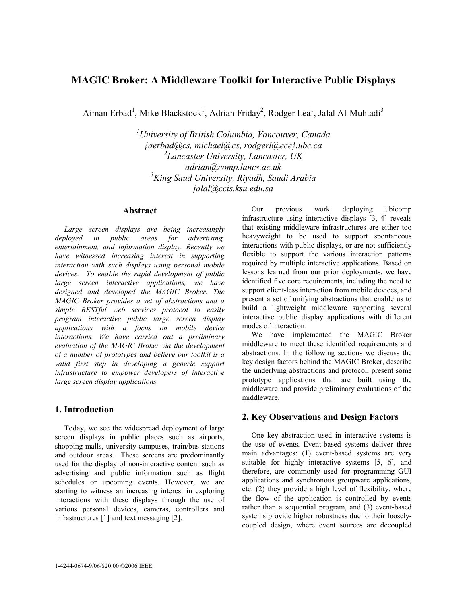# MAGIC Broker: A Middleware Toolkit for Interactive Public Displays

Aiman Erbad<sup>1</sup>, Mike Blackstock<sup>1</sup>, Adrian Friday<sup>2</sup>, Rodger Lea<sup>1</sup>, Jalal Al-Muhtadi<sup>3</sup>

 $<sup>1</sup>$ University of British Columbia, Vancouver, Canada</sup> {aerbad@cs, michael@cs, rodgerl@ece}.ubc.ca  ${}^{2}$ Lancaster University, Lancaster, UK adrian@comp.lancs.ac.uk  $3$ King Saud University, Riyadh, Saudi Arabia jalal@ccis.ksu.edu.sa

## Abstract

Large screen displays are being increasingly deployed in public areas for advertising, entertainment, and information display. Recently we have witnessed increasing interest in supporting interaction with such displays using personal mobile devices. To enable the rapid development of public large screen interactive applications, we have designed and developed the MAGIC Broker. The MAGIC Broker provides a set of abstractions and a simple RESTful web services protocol to easily program interactive public large screen display applications with a focus on mobile device interactions. We have carried out a preliminary evaluation of the MAGIC Broker via the development of a number of prototypes and believe our toolkit is a valid first step in developing a generic support infrastructure to empower developers of interactive large screen display applications.

# 1. Introduction

Today, we see the widespread deployment of large screen displays in public places such as airports, shopping malls, university campuses, train/bus stations and outdoor areas. These screens are predominantly used for the display of non-interactive content such as advertising and public information such as flight schedules or upcoming events. However, we are starting to witness an increasing interest in exploring interactions with these displays through the use of various personal devices, cameras, controllers and infrastructures [1] and text messaging [2].

Our previous work deploying ubicomp infrastructure using interactive displays [3, 4] reveals that existing middleware infrastructures are either too heavyweight to be used to support spontaneous interactions with public displays, or are not sufficiently flexible to support the various interaction patterns required by multiple interactive applications. Based on lessons learned from our prior deployments, we have identified five core requirements, including the need to support client-less interaction from mobile devices, and present a set of unifying abstractions that enable us to build a lightweight middleware supporting several interactive public display applications with different modes of interaction.

We have implemented the MAGIC Broker middleware to meet these identified requirements and abstractions. In the following sections we discuss the key design factors behind the MAGIC Broker, describe the underlying abstractions and protocol, present some prototype applications that are built using the middleware and provide preliminary evaluations of the middleware.

### 2. Key Observations and Design Factors

One key abstraction used in interactive systems is the use of events. Event-based systems deliver three main advantages: (1) event-based systems are very suitable for highly interactive systems [5, 6], and therefore, are commonly used for programming GUI applications and synchronous groupware applications, etc. (2) they provide a high level of flexibility, where the flow of the application is controlled by events rather than a sequential program, and (3) event-based systems provide higher robustness due to their looselycoupled design, where event sources are decoupled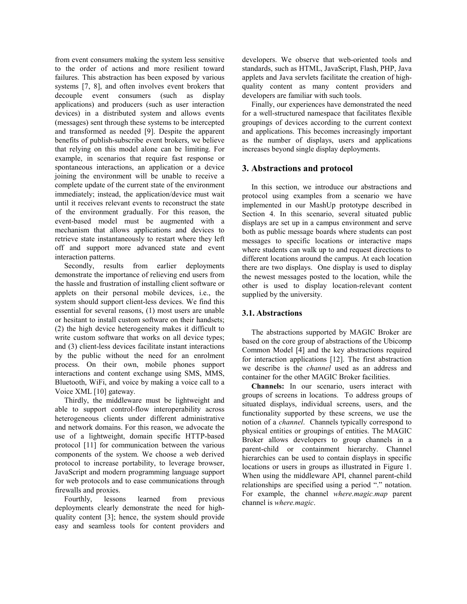from event consumers making the system less sensitive to the order of actions and more resilient toward failures. This abstraction has been exposed by various systems [7, 8], and often involves event brokers that decouple event consumers (such as display applications) and producers (such as user interaction devices) in a distributed system and allows events (messages) sent through these systems to be intercepted and transformed as needed [9]. Despite the apparent benefits of publish-subscribe event brokers, we believe that relying on this model alone can be limiting. For example, in scenarios that require fast response or spontaneous interactions, an application or a device joining the environment will be unable to receive a complete update of the current state of the environment immediately; instead, the application/device must wait until it receives relevant events to reconstruct the state of the environment gradually. For this reason, the event-based model must be augmented with a mechanism that allows applications and devices to retrieve state instantaneously to restart where they left off and support more advanced state and event interaction patterns.

Secondly, results from earlier deployments demonstrate the importance of relieving end users from the hassle and frustration of installing client software or applets on their personal mobile devices, i.e., the system should support client-less devices. We find this essential for several reasons, (1) most users are unable or hesitant to install custom software on their handsets; (2) the high device heterogeneity makes it difficult to write custom software that works on all device types; and (3) client-less devices facilitate instant interactions by the public without the need for an enrolment process. On their own, mobile phones support interactions and content exchange using SMS, MMS, Bluetooth, WiFi, and voice by making a voice call to a Voice XML [10] gateway.

Thirdly, the middleware must be lightweight and able to support control-flow interoperability across heterogeneous clients under different administrative and network domains. For this reason, we advocate the use of a lightweight, domain specific HTTP-based protocol [11] for communication between the various components of the system. We choose a web derived protocol to increase portability, to leverage browser, JavaScript and modern programming language support for web protocols and to ease communications through firewalls and proxies.

Fourthly, lessons learned from previous deployments clearly demonstrate the need for highquality content [3]; hence, the system should provide easy and seamless tools for content providers and developers. We observe that web-oriented tools and standards, such as HTML, JavaScript, Flash, PHP, Java applets and Java servlets facilitate the creation of highquality content as many content providers and developers are familiar with such tools.

Finally, our experiences have demonstrated the need for a well-structured namespace that facilitates flexible groupings of devices according to the current context and applications. This becomes increasingly important as the number of displays, users and applications increases beyond single display deployments.

# 3. Abstractions and protocol

In this section, we introduce our abstractions and protocol using examples from a scenario we have implemented in our MashUp prototype described in Section 4. In this scenario, several situated public displays are set up in a campus environment and serve both as public message boards where students can post messages to specific locations or interactive maps where students can walk up to and request directions to different locations around the campus. At each location there are two displays. One display is used to display the newest messages posted to the location, while the other is used to display location-relevant content supplied by the university.

# 3.1. Abstractions

The abstractions supported by MAGIC Broker are based on the core group of abstractions of the Ubicomp Common Model [4] and the key abstractions required for interaction applications [12]. The first abstraction we describe is the channel used as an address and container for the other MAGIC Broker facilities.

Channels: In our scenario, users interact with groups of screens in locations. To address groups of situated displays, individual screens, users, and the functionality supported by these screens, we use the notion of a channel. Channels typically correspond to physical entities or groupings of entities. The MAGIC Broker allows developers to group channels in a parent-child or containment hierarchy. Channel hierarchies can be used to contain displays in specific locations or users in groups as illustrated in Figure 1. When using the middleware API, channel parent-child relationships are specified using a period "." notation. For example, the channel where.magic.map parent channel is where.magic.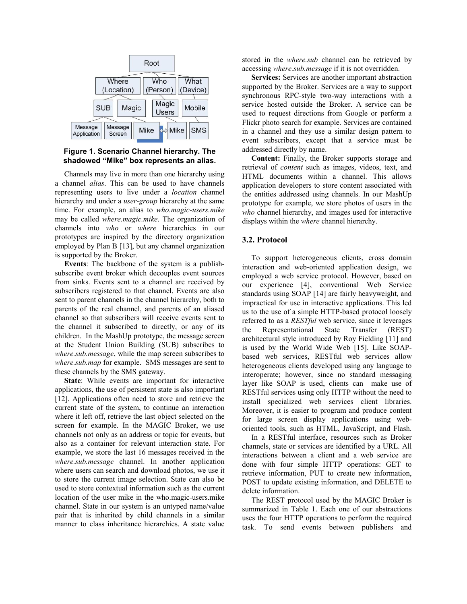

#### Figure 1. Scenario Channel hierarchy. The shadowed "Mike" box represents an alias.

Channels may live in more than one hierarchy using a channel alias. This can be used to have channels representing users to live under a location channel hierarchy and under a user-group hierarchy at the same time. For example, an alias to who.magic-users.mike may be called where.magic.mike. The organization of channels into who or where hierarchies in our prototypes are inspired by the directory organization employed by Plan B [13], but any channel organization is supported by the Broker.

Events: The backbone of the system is a publishsubscribe event broker which decouples event sources from sinks. Events sent to a channel are received by subscribers registered to that channel. Events are also sent to parent channels in the channel hierarchy, both to parents of the real channel, and parents of an aliased channel so that subscribers will receive events sent to the channel it subscribed to directly, or any of its children. In the MashUp prototype, the message screen at the Student Union Building (SUB) subscribes to where.sub.message, while the map screen subscribes to where.sub.map for example. SMS messages are sent to these channels by the SMS gateway.

State: While events are important for interactive applications, the use of persistent state is also important [12]. Applications often need to store and retrieve the current state of the system, to continue an interaction where it left off, retrieve the last object selected on the screen for example. In the MAGIC Broker, we use channels not only as an address or topic for events, but also as a container for relevant interaction state. For example, we store the last 16 messages received in the where.sub.message channel. In another application where users can search and download photos, we use it to store the current image selection. State can also be used to store contextual information such as the current location of the user mike in the who.magic-users.mike channel. State in our system is an untyped name/value pair that is inherited by child channels in a similar manner to class inheritance hierarchies. A state value stored in the where.sub channel can be retrieved by accessing where.sub.message if it is not overridden.

Services: Services are another important abstraction supported by the Broker. Services are a way to support synchronous RPC-style two-way interactions with a service hosted outside the Broker. A service can be used to request directions from Google or perform a Flickr photo search for example. Services are contained in a channel and they use a similar design pattern to event subscribers, except that a service must be addressed directly by name.

Content: Finally, the Broker supports storage and retrieval of content such as images, videos, text, and HTML documents within a channel. This allows application developers to store content associated with the entities addressed using channels. In our MashUp prototype for example, we store photos of users in the who channel hierarchy, and images used for interactive displays within the where channel hierarchy.

### 3.2. Protocol

To support heterogeneous clients, cross domain interaction and web-oriented application design, we employed a web service protocol. However, based on our experience [4], conventional Web Service standards using SOAP [14] are fairly heavyweight, and impractical for use in interactive applications. This led us to the use of a simple HTTP-based protocol loosely referred to as a RESTful web service, since it leverages the Representational State Transfer (REST) architectural style introduced by Roy Fielding [11] and is used by the World Wide Web [15]. Like SOAPbased web services, RESTful web services allow heterogeneous clients developed using any language to interoperate; however, since no standard messaging layer like SOAP is used, clients can make use of RESTful services using only HTTP without the need to install specialized web services client libraries. Moreover, it is easier to program and produce content for large screen display applications using weboriented tools, such as HTML, JavaScript, and Flash.

In a RESTful interface, resources such as Broker channels, state or services are identified by a URL. All interactions between a client and a web service are done with four simple HTTP operations: GET to retrieve information, PUT to create new information, POST to update existing information, and DELETE to delete information.

The REST protocol used by the MAGIC Broker is summarized in Table 1. Each one of our abstractions uses the four HTTP operations to perform the required task. To send events between publishers and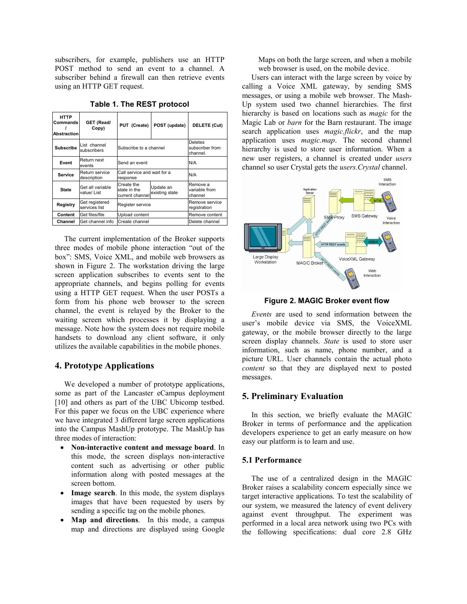subscribers, for example, publishers use an HTTP POST method to send an event to a channel. A subscriber behind a firewall can then retrieve events using an HTTP GET request.

| <b>HTTP</b><br><b>Commands</b><br><b>Abstraction</b> | GET (Read/<br>Copy)             | PUT (Create)                                  | POST (update)               | DELETE (Cut)                           |
|------------------------------------------------------|---------------------------------|-----------------------------------------------|-----------------------------|----------------------------------------|
| <b>Subscribe</b>                                     | List channel<br>subscribers     | Subscribe to a channel                        |                             | Deletes<br>subscriber from<br>channel. |
| Event                                                | Return next<br>events           | Send an event                                 |                             | N/A                                    |
| Service                                              | Return service<br>description   | Call service and wait for a<br>response       |                             | N/A                                    |
| <b>State</b>                                         | Get all variable<br>value/List  | Create the<br>state in the<br>current channel | Update an<br>existing state | Remove a<br>variable from<br>channel   |
| Registry                                             | Get registered<br>services list | Register service                              |                             | Remove service<br>registration         |
| Content                                              | Get files/file                  | Upload content                                |                             | Remove content                         |
| Channel                                              | Get channel info                | Create channel                                |                             | Delete channel                         |

Table 1. The REST protocol

The current implementation of the Broker supports three modes of mobile phone interaction "out of the box": SMS, Voice XML, and mobile web browsers as shown in Figure 2. The workstation driving the large screen application subscribes to events sent to the appropriate channels, and begins polling for events using a HTTP GET request. When the user POSTs a form from his phone web browser to the screen channel, the event is relayed by the Broker to the waiting screen which processes it by displaying a message. Note how the system does not require mobile handsets to download any client software, it only utilizes the available capabilities in the mobile phones.

# 4. Prototype Applications

We developed a number of prototype applications, some as part of the Lancaster eCampus deployment [10] and others as part of the UBC Ubicomp testbed. For this paper we focus on the UBC experience where we have integrated 3 different large screen applications into the Campus MashUp prototype. The MashUp has three modes of interaction:

- Non-interactive content and message board. In this mode, the screen displays non-interactive content such as advertising or other public information along with posted messages at the screen bottom.
- Image search. In this mode, the system displays images that have been requested by users by sending a specific tag on the mobile phones.
- Map and directions. In this mode, a campus map and directions are displayed using Google

Maps on both the large screen, and when a mobile web browser is used, on the mobile device.

Users can interact with the large screen by voice by calling a Voice XML gateway, by sending SMS messages, or using a mobile web browser. The Mash-Up system used two channel hierarchies. The first hierarchy is based on locations such as magic for the Magic Lab or barn for the Barn restaurant. The image search application uses *magic.flickr*, and the map application uses magic.map. The second channel hierarchy is used to store user information. When a new user registers, a channel is created under users channel so user Crystal gets the users.Crystal channel.



Figure 2. MAGIC Broker event flow

Events are used to send information between the user's mobile device via SMS, the VoiceXML gateway, or the mobile browser directly to the large screen display channels. State is used to store user information, such as name, phone number, and a picture URL. User channels contain the actual photo content so that they are displayed next to posted messages.

### 5. Preliminary Evaluation

In this section, we briefly evaluate the MAGIC Broker in terms of performance and the application developers experience to get an early measure on how easy our platform is to learn and use.

#### 5.1 Performance

The use of a centralized design in the MAGIC Broker raises a scalability concern especially since we target interactive applications. To test the scalability of our system, we measured the latency of event delivery against event throughput. The experiment was performed in a local area network using two PCs with the following specifications: dual core 2.8 GHz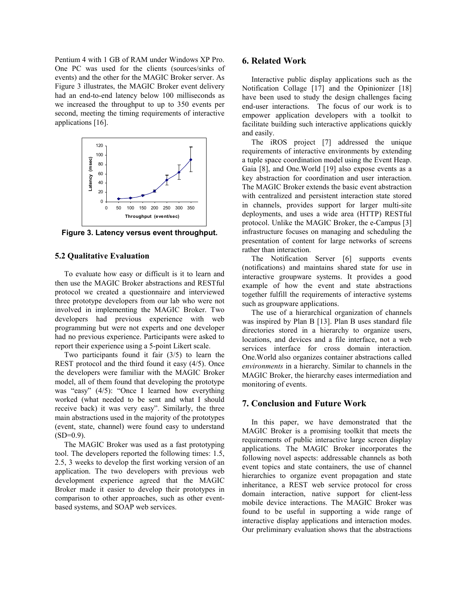Pentium 4 with 1 GB of RAM under Windows XP Pro. One PC was used for the clients (sources/sinks of events) and the other for the MAGIC Broker server. As Figure 3 illustrates, the MAGIC Broker event delivery had an end-to-end latency below 100 milliseconds as we increased the throughput to up to 350 events per second, meeting the timing requirements of interactive applications [16].



Figure 3. Latency versus event throughput.

### 5.2 Qualitative Evaluation

To evaluate how easy or difficult is it to learn and then use the MAGIC Broker abstractions and RESTful protocol we created a questionnaire and interviewed three prototype developers from our lab who were not involved in implementing the MAGIC Broker. Two developers had previous experience with web programming but were not experts and one developer had no previous experience. Participants were asked to report their experience using a 5-point Likert scale.

Two participants found it fair (3/5) to learn the REST protocol and the third found it easy (4/5). Once the developers were familiar with the MAGIC Broker model, all of them found that developing the prototype was "easy" (4/5): "Once I learned how everything worked (what needed to be sent and what I should receive back) it was very easy". Similarly, the three main abstractions used in the majority of the prototypes (event, state, channel) were found easy to understand  $(SD=0.9)$ .

The MAGIC Broker was used as a fast prototyping tool. The developers reported the following times: 1.5, 2.5, 3 weeks to develop the first working version of an application. The two developers with previous web development experience agreed that the MAGIC Broker made it easier to develop their prototypes in comparison to other approaches, such as other eventbased systems, and SOAP web services.

### 6. Related Work

Interactive public display applications such as the Notification Collage [17] and the Opinionizer [18] have been used to study the design challenges facing end-user interactions. The focus of our work is to empower application developers with a toolkit to facilitate building such interactive applications quickly and easily.

The iROS project [7] addressed the unique requirements of interactive environments by extending a tuple space coordination model using the Event Heap. Gaia [8], and One.World [19] also expose events as a key abstraction for coordination and user interaction. The MAGIC Broker extends the basic event abstraction with centralized and persistent interaction state stored in channels, provides support for larger multi-site deployments, and uses a wide area (HTTP) RESTful protocol. Unlike the MAGIC Broker, the e-Campus [3] infrastructure focuses on managing and scheduling the presentation of content for large networks of screens rather than interaction.

The Notification Server [6] supports events (notifications) and maintains shared state for use in interactive groupware systems. It provides a good example of how the event and state abstractions together fulfill the requirements of interactive systems such as groupware applications.

The use of a hierarchical organization of channels was inspired by Plan B [13]. Plan B uses standard file directories stored in a hierarchy to organize users, locations, and devices and a file interface, not a web services interface for cross domain interaction. One.World also organizes container abstractions called environments in a hierarchy. Similar to channels in the MAGIC Broker, the hierarchy eases intermediation and monitoring of events.

### 7. Conclusion and Future Work

In this paper, we have demonstrated that the MAGIC Broker is a promising toolkit that meets the requirements of public interactive large screen display applications. The MAGIC Broker incorporates the following novel aspects: addressable channels as both event topics and state containers, the use of channel hierarchies to organize event propagation and state inheritance, a REST web service protocol for cross domain interaction, native support for client-less mobile device interactions. The MAGIC Broker was found to be useful in supporting a wide range of interactive display applications and interaction modes. Our preliminary evaluation shows that the abstractions